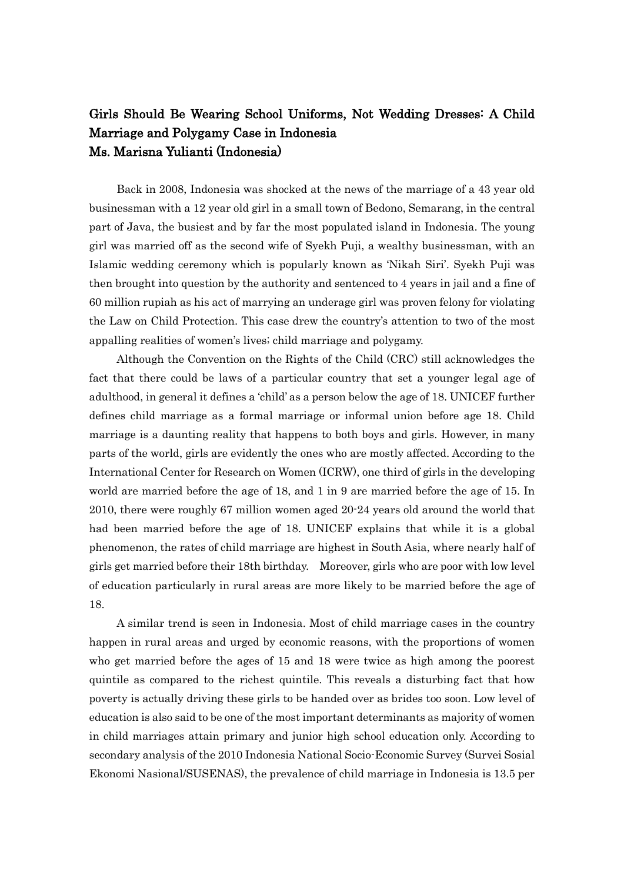## Girls Should Be Wearing School Uniforms, Not Wedding Dresses: A Child Marriage and Polygamy Case in Indonesia Ms. Marisna Yulianti (Indonesia)

Back in 2008, Indonesia was shocked at the news of the marriage of a 43 year old businessman with a 12 year old girl in a small town of Bedono, Semarang, in the central part of Java, the busiest and by far the most populated island in Indonesia. The young girl was married off as the second wife of Syekh Puji, a wealthy businessman, with an Islamic wedding ceremony which is popularly known as 'Nikah Siri'. Syekh Puji was then brought into question by the authority and sentenced to 4 years in jail and a fine of 60 million rupiah as his act of marrying an underage girl was proven felony for violating the Law on Child Protection. This case drew the country's attention to two of the most appalling realities of women's lives; child marriage and polygamy.

Although the Convention on the Rights of the Child (CRC) still acknowledges the fact that there could be laws of a particular country that set a younger legal age of adulthood, in general it defines a 'child' as a person below the age of 18. UNICEF further defines child marriage as a formal marriage or informal union before age 18. Child marriage is a daunting reality that happens to both boys and girls. However, in many parts of the world, girls are evidently the ones who are mostly affected. According to the International Center for Research on Women (ICRW), one third of girls in the developing world are married before the age of 18, and 1 in 9 are married before the age of 15. In 2010, there were roughly 67 million women aged 20-24 years old around the world that had been married before the age of 18. UNICEF explains that while it is a global phenomenon, the rates of child marriage are highest in South Asia, where nearly half of girls get married before their 18th birthday. Moreover, girls who are poor with low level of education particularly in rural areas are more likely to be married before the age of 18.

A similar trend is seen in Indonesia. Most of child marriage cases in the country happen in rural areas and urged by economic reasons, with the proportions of women who get married before the ages of 15 and 18 were twice as high among the poorest quintile as compared to the richest quintile. This reveals a disturbing fact that how poverty is actually driving these girls to be handed over as brides too soon. Low level of education is also said to be one of the most important determinants as majority of women in child marriages attain primary and junior high school education only. According to secondary analysis of the 2010 Indonesia National Socio-Economic Survey (Survei Sosial Ekonomi Nasional/SUSENAS), the prevalence of child marriage in Indonesia is 13.5 per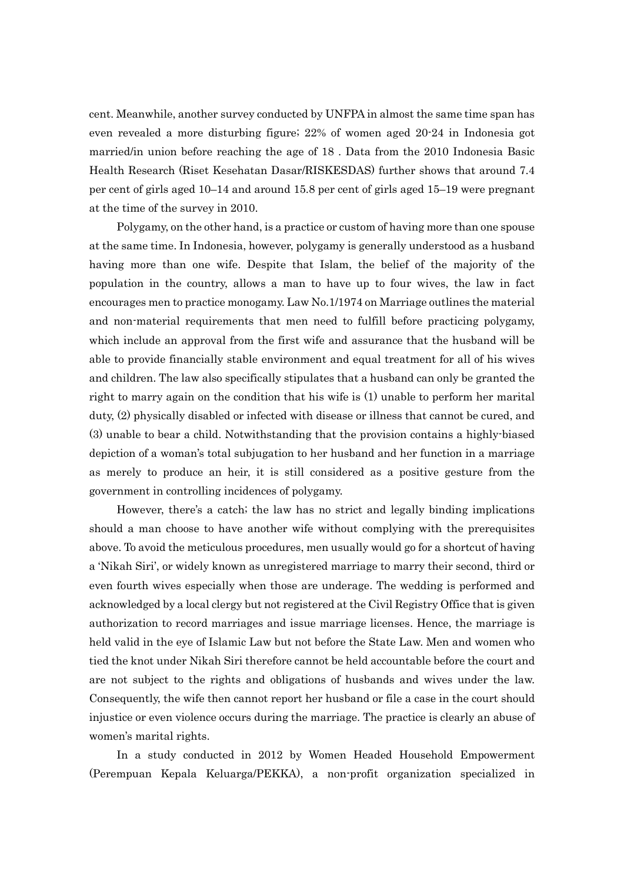cent. Meanwhile, another survey conducted by UNFPA in almost the same time span has even revealed a more disturbing figure; 22% of women aged 20-24 in Indonesia got married/in union before reaching the age of 18 . Data from the 2010 Indonesia Basic Health Research (Riset Kesehatan Dasar/RISKESDAS) further shows that around 7.4 per cent of girls aged 10–14 and around 15.8 per cent of girls aged 15–19 were pregnant at the time of the survey in 2010.

Polygamy, on the other hand, is a practice or custom of having more than one spouse at the same time. In Indonesia, however, polygamy is generally understood as a husband having more than one wife. Despite that Islam, the belief of the majority of the population in the country, allows a man to have up to four wives, the law in fact encourages men to practice monogamy. Law No.1/1974 on Marriage outlines the material and non-material requirements that men need to fulfill before practicing polygamy, which include an approval from the first wife and assurance that the husband will be able to provide financially stable environment and equal treatment for all of his wives and children. The law also specifically stipulates that a husband can only be granted the right to marry again on the condition that his wife is (1) unable to perform her marital duty, (2) physically disabled or infected with disease or illness that cannot be cured, and (3) unable to bear a child. Notwithstanding that the provision contains a highly-biased depiction of a woman's total subjugation to her husband and her function in a marriage as merely to produce an heir, it is still considered as a positive gesture from the government in controlling incidences of polygamy.

However, there's a catch; the law has no strict and legally binding implications should a man choose to have another wife without complying with the prerequisites above. To avoid the meticulous procedures, men usually would go for a shortcut of having a 'Nikah Siri', or widely known as unregistered marriage to marry their second, third or even fourth wives especially when those are underage. The wedding is performed and acknowledged by a local clergy but not registered at the Civil Registry Office that is given authorization to record marriages and issue marriage licenses. Hence, the marriage is held valid in the eye of Islamic Law but not before the State Law. Men and women who tied the knot under Nikah Siri therefore cannot be held accountable before the court and are not subject to the rights and obligations of husbands and wives under the law. Consequently, the wife then cannot report her husband or file a case in the court should injustice or even violence occurs during the marriage. The practice is clearly an abuse of women's marital rights.

In a study conducted in 2012 by Women Headed Household Empowerment (Perempuan Kepala Keluarga/PEKKA), a non-profit organization specialized in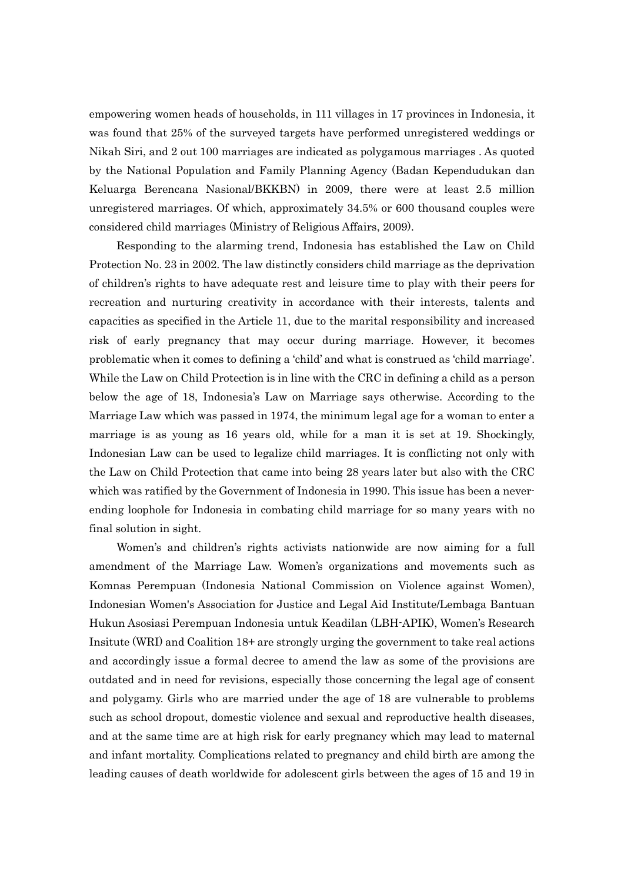empowering women heads of households, in 111 villages in 17 provinces in Indonesia, it was found that 25% of the surveyed targets have performed unregistered weddings or Nikah Siri, and 2 out 100 marriages are indicated as polygamous marriages . As quoted by the National Population and Family Planning Agency (Badan Kependudukan dan Keluarga Berencana Nasional/BKKBN) in 2009, there were at least 2.5 million unregistered marriages. Of which, approximately 34.5% or 600 thousand couples were considered child marriages (Ministry of Religious Affairs, 2009).

Responding to the alarming trend, Indonesia has established the Law on Child Protection No. 23 in 2002. The law distinctly considers child marriage as the deprivation of children's rights to have adequate rest and leisure time to play with their peers for recreation and nurturing creativity in accordance with their interests, talents and capacities as specified in the Article 11, due to the marital responsibility and increased risk of early pregnancy that may occur during marriage. However, it becomes problematic when it comes to defining a 'child' and what is construed as 'child marriage'. While the Law on Child Protection is in line with the CRC in defining a child as a person below the age of 18, Indonesia's Law on Marriage says otherwise. According to the Marriage Law which was passed in 1974, the minimum legal age for a woman to enter a marriage is as young as 16 years old, while for a man it is set at 19. Shockingly, Indonesian Law can be used to legalize child marriages. It is conflicting not only with the Law on Child Protection that came into being 28 years later but also with the CRC which was ratified by the Government of Indonesia in 1990. This issue has been a neverending loophole for Indonesia in combating child marriage for so many years with no final solution in sight.

Women's and children's rights activists nationwide are now aiming for a full amendment of the Marriage Law. Women's organizations and movements such as Komnas Perempuan (Indonesia National Commission on Violence against Women), Indonesian Women's Association for Justice and Legal Aid Institute/Lembaga Bantuan Hukun Asosiasi Perempuan Indonesia untuk Keadilan (LBH-APIK), Women's Research Insitute (WRI) and Coalition 18+ are strongly urging the government to take real actions and accordingly issue a formal decree to amend the law as some of the provisions are outdated and in need for revisions, especially those concerning the legal age of consent and polygamy. Girls who are married under the age of 18 are vulnerable to problems such as school dropout, domestic violence and sexual and reproductive health diseases, and at the same time are at high risk for early pregnancy which may lead to maternal and infant mortality. Complications related to pregnancy and child birth are among the leading causes of death worldwide for adolescent girls between the ages of 15 and 19 in